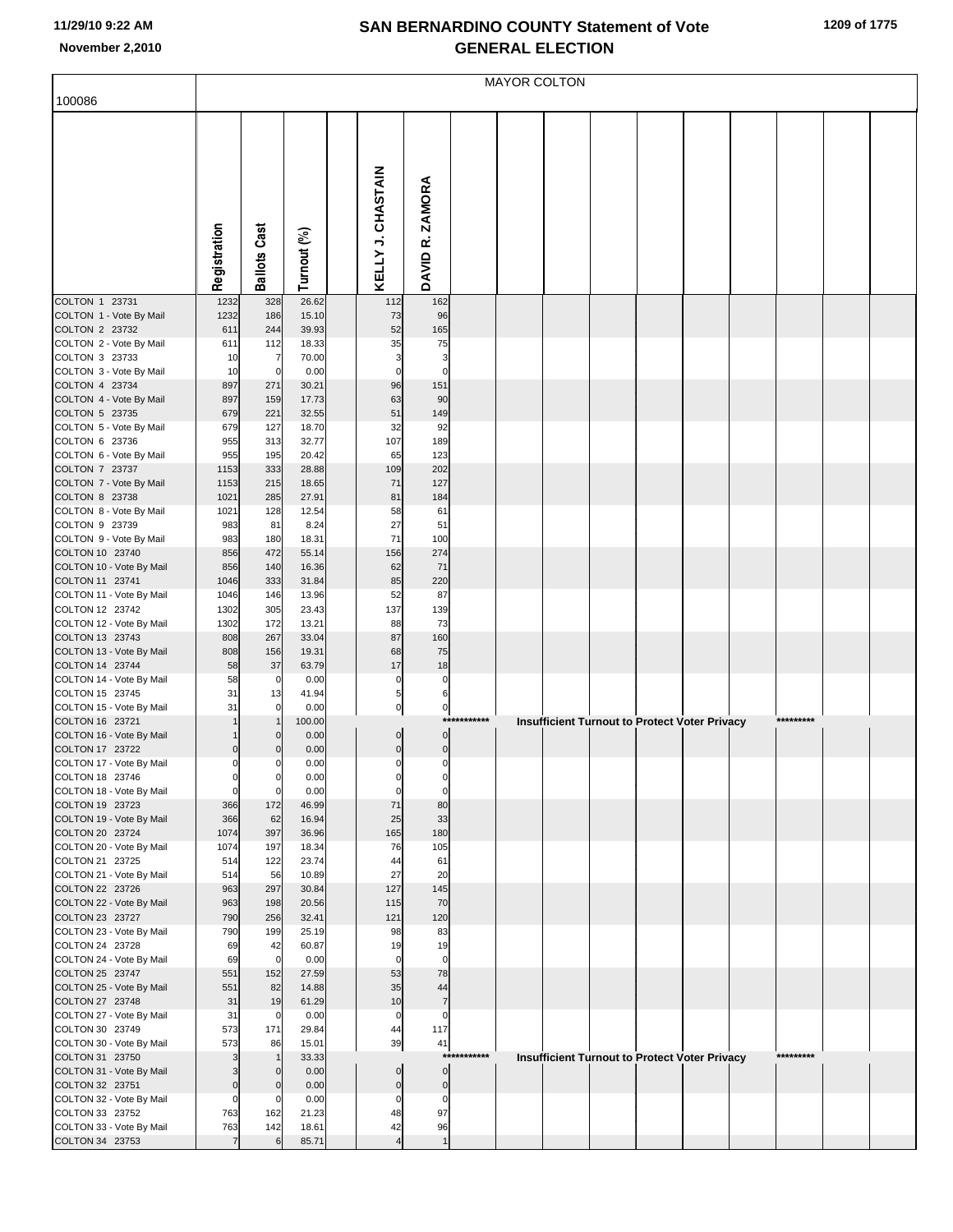## **SAN BERNARDINO COUNTY Statement of Vote November 2,2010 GENERAL ELECTION**